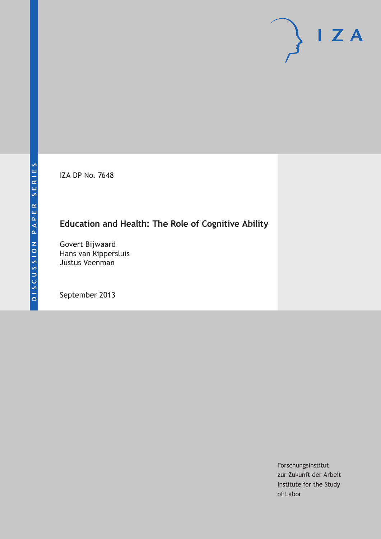IZA DP No. 7648

# **Education and Health: The Role of Cognitive Ability**

Govert Bijwaard Hans van Kippersluis Justus Veenman

September 2013

Forschungsinstitut zur Zukunft der Arbeit Institute for the Study of Labor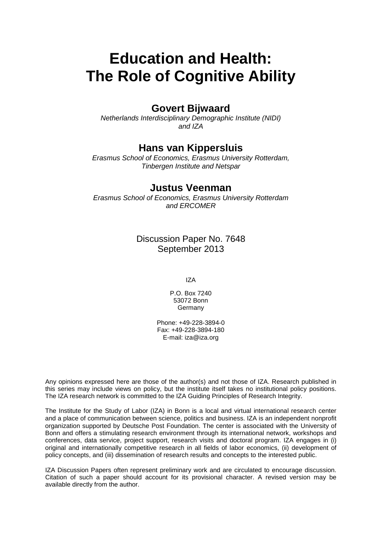# **Education and Health: The Role of Cognitive Ability**

## **Govert Bijwaard**

*Netherlands Interdisciplinary Demographic Institute (NIDI) and IZA*

## **Hans van Kippersluis**

*Erasmus School of Economics, Erasmus University Rotterdam, Tinbergen Institute and Netspar*

### **Justus Veenman**

*Erasmus School of Economics, Erasmus University Rotterdam and ERCOMER*

> Discussion Paper No. 7648 September 2013

> > IZA

P.O. Box 7240 53072 Bonn **Germany** 

Phone: +49-228-3894-0 Fax: +49-228-3894-180 E-mail: [iza@iza.org](mailto:iza@iza.org)

Any opinions expressed here are those of the author(s) and not those of IZA. Research published in this series may include views on policy, but the institute itself takes no institutional policy positions. The IZA research network is committed to the IZA Guiding Principles of Research Integrity.

The Institute for the Study of Labor (IZA) in Bonn is a local and virtual international research center and a place of communication between science, politics and business. IZA is an independent nonprofit organization supported by Deutsche Post Foundation. The center is associated with the University of Bonn and offers a stimulating research environment through its international network, workshops and conferences, data service, project support, research visits and doctoral program. IZA engages in (i) original and internationally competitive research in all fields of labor economics, (ii) development of policy concepts, and (iii) dissemination of research results and concepts to the interested public.

<span id="page-1-0"></span>IZA Discussion Papers often represent preliminary work and are circulated to encourage discussion. Citation of such a paper should account for its provisional character. A revised version may be available directly from the author.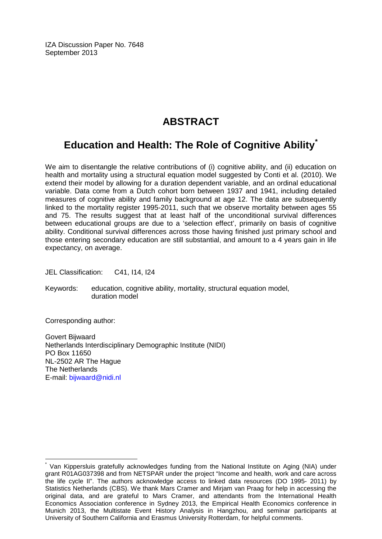IZA Discussion Paper No. 7648 September 2013

# **ABSTRACT**

# **Education and Health: The Role of Cognitive Ability[\\*](#page-1-0)**

We aim to disentangle the relative contributions of (i) cognitive ability, and (ii) education on health and mortality using a structural equation model suggested by Conti et al. (2010). We extend their model by allowing for a duration dependent variable, and an ordinal educational variable. Data come from a Dutch cohort born between 1937 and 1941, including detailed measures of cognitive ability and family background at age 12. The data are subsequently linked to the mortality register 1995-2011, such that we observe mortality between ages 55 and 75. The results suggest that at least half of the unconditional survival differences between educational groups are due to a 'selection effect', primarily on basis of cognitive ability. Conditional survival differences across those having finished just primary school and those entering secondary education are still substantial, and amount to a 4 years gain in life expectancy, on average.

JEL Classification: C41, I14, I24

Keywords: education, cognitive ability, mortality, structural equation model, duration model

Corresponding author:

Govert Bijwaard Netherlands Interdisciplinary Demographic Institute (NIDI) PO Box 11650 NL-2502 AR The Hague The Netherlands E-mail: [bijwaard@nidi.nl](mailto:bijwaard@nidi.nl)

Van Kippersluis gratefully acknowledges funding from the National Institute on Aging (NIA) under grant R01AG037398 and from NETSPAR under the project "Income and health, work and care across the life cycle II". The authors acknowledge access to linked data resources (DO 1995- 2011) by Statistics Netherlands (CBS). We thank Mars Cramer and Mirjam van Praag for help in accessing the original data, and are grateful to Mars Cramer, and attendants from the International Health Economics Association conference in Sydney 2013, the Empirical Health Economics conference in Munich 2013, the Multistate Event History Analysis in Hangzhou, and seminar participants at University of Southern California and Erasmus University Rotterdam, for helpful comments.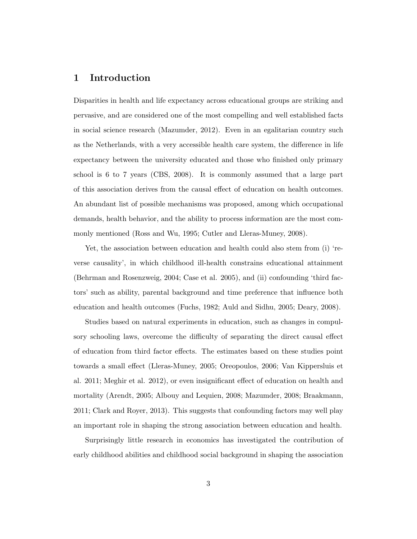### 1 Introduction

Disparities in health and life expectancy across educational groups are striking and pervasive, and are considered one of the most compelling and well established facts in social science research (Mazumder, 2012). Even in an egalitarian country such as the Netherlands, with a very accessible health care system, the difference in life expectancy between the university educated and those who finished only primary school is 6 to 7 years (CBS, 2008). It is commonly assumed that a large part of this association derives from the causal effect of education on health outcomes. An abundant list of possible mechanisms was proposed, among which occupational demands, health behavior, and the ability to process information are the most commonly mentioned (Ross and Wu, 1995; Cutler and Lleras-Muney, 2008).

Yet, the association between education and health could also stem from (i) 'reverse causality', in which childhood ill-health constrains educational attainment (Behrman and Rosenzweig, 2004; Case et al. 2005), and (ii) confounding 'third factors' such as ability, parental background and time preference that influence both education and health outcomes (Fuchs, 1982; Auld and Sidhu, 2005; Deary, 2008).

Studies based on natural experiments in education, such as changes in compulsory schooling laws, overcome the difficulty of separating the direct causal effect of education from third factor effects. The estimates based on these studies point towards a small effect (Lleras-Muney, 2005; Oreopoulos, 2006; Van Kippersluis et al. 2011; Meghir et al. 2012), or even insignificant effect of education on health and mortality (Arendt, 2005; Albouy and Lequien, 2008; Mazumder, 2008; Braakmann, 2011; Clark and Royer, 2013). This suggests that confounding factors may well play an important role in shaping the strong association between education and health.

Surprisingly little research in economics has investigated the contribution of early childhood abilities and childhood social background in shaping the association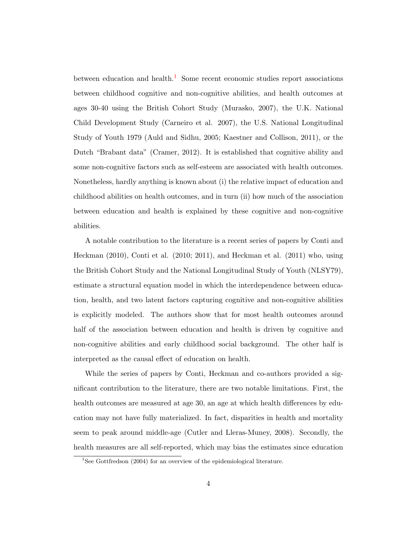between education and health.<sup>[1](#page-4-0)</sup> Some recent economic studies report associations between childhood cognitive and non-cognitive abilities, and health outcomes at ages 30-40 using the British Cohort Study (Murasko, 2007), the U.K. National Child Development Study (Carneiro et al. 2007), the U.S. National Longitudinal Study of Youth 1979 (Auld and Sidhu, 2005; Kaestner and Collison, 2011), or the Dutch "Brabant data" (Cramer, 2012). It is established that cognitive ability and some non-cognitive factors such as self-esteem are associated with health outcomes. Nonetheless, hardly anything is known about (i) the relative impact of education and childhood abilities on health outcomes, and in turn (ii) how much of the association between education and health is explained by these cognitive and non-cognitive abilities.

A notable contribution to the literature is a recent series of papers by Conti and Heckman (2010), Conti et al. (2010; 2011), and Heckman et al. (2011) who, using the British Cohort Study and the National Longitudinal Study of Youth (NLSY79), estimate a structural equation model in which the interdependence between education, health, and two latent factors capturing cognitive and non-cognitive abilities is explicitly modeled. The authors show that for most health outcomes around half of the association between education and health is driven by cognitive and non-cognitive abilities and early childhood social background. The other half is interpreted as the causal effect of education on health.

While the series of papers by Conti, Heckman and co-authors provided a significant contribution to the literature, there are two notable limitations. First, the health outcomes are measured at age 30, an age at which health differences by education may not have fully materialized. In fact, disparities in health and mortality seem to peak around middle-age (Cutler and Lleras-Muney, 2008). Secondly, the health measures are all self-reported, which may bias the estimates since education

<span id="page-4-0"></span><sup>&</sup>lt;sup>1</sup>See Gottfredson (2004) for an overview of the epidemiological literature.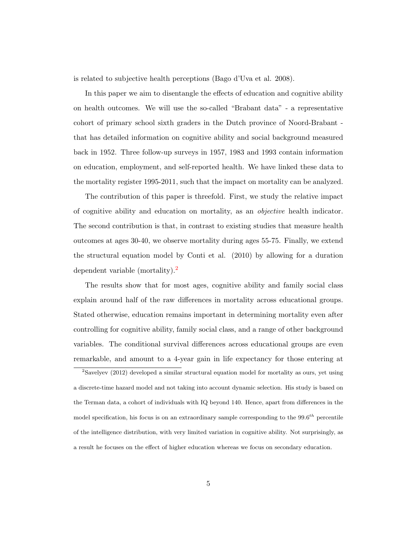is related to subjective health perceptions (Bago d'Uva et al. 2008).

In this paper we aim to disentangle the effects of education and cognitive ability on health outcomes. We will use the so-called "Brabant data" - a representative cohort of primary school sixth graders in the Dutch province of Noord-Brabant that has detailed information on cognitive ability and social background measured back in 1952. Three follow-up surveys in 1957, 1983 and 1993 contain information on education, employment, and self-reported health. We have linked these data to the mortality register 1995-2011, such that the impact on mortality can be analyzed.

The contribution of this paper is threefold. First, we study the relative impact of cognitive ability and education on mortality, as an objective health indicator. The second contribution is that, in contrast to existing studies that measure health outcomes at ages 30-40, we observe mortality during ages 55-75. Finally, we extend the structural equation model by Conti et al. (2010) by allowing for a duration dependent variable (mortality).<sup>[2](#page-5-0)</sup>

The results show that for most ages, cognitive ability and family social class explain around half of the raw differences in mortality across educational groups. Stated otherwise, education remains important in determining mortality even after controlling for cognitive ability, family social class, and a range of other background variables. The conditional survival differences across educational groups are even remarkable, and amount to a 4-year gain in life expectancy for those entering at

<span id="page-5-0"></span> $2$ Savelyev (2012) developed a similar structural equation model for mortality as ours, yet using a discrete-time hazard model and not taking into account dynamic selection. His study is based on the Terman data, a cohort of individuals with IQ beyond 140. Hence, apart from differences in the model specification, his focus is on an extraordinary sample corresponding to the  $99.6^{th}$  percentile of the intelligence distribution, with very limited variation in cognitive ability. Not surprisingly, as a result he focuses on the effect of higher education whereas we focus on secondary education.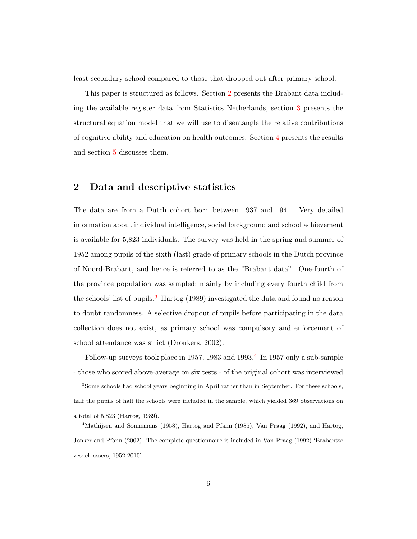least secondary school compared to those that dropped out after primary school.

This paper is structured as follows. Section [2](#page-6-0) presents the Brabant data including the available register data from Statistics Netherlands, section [3](#page-11-0) presents the structural equation model that we will use to disentangle the relative contributions of cognitive ability and education on health outcomes. Section [4](#page-18-0) presents the results and section [5](#page-25-0) discusses them.

#### <span id="page-6-0"></span>2 Data and descriptive statistics

The data are from a Dutch cohort born between 1937 and 1941. Very detailed information about individual intelligence, social background and school achievement is available for 5,823 individuals. The survey was held in the spring and summer of 1952 among pupils of the sixth (last) grade of primary schools in the Dutch province of Noord-Brabant, and hence is referred to as the "Brabant data". One-fourth of the province population was sampled; mainly by including every fourth child from the schools' list of pupils.<sup>[3](#page-6-1)</sup> Hartog (1989) investigated the data and found no reason to doubt randomness. A selective dropout of pupils before participating in the data collection does not exist, as primary school was compulsory and enforcement of school attendance was strict (Dronkers, 2002).

Follow-up surveys took place in 1957, 1983 and 1993.<sup>[4](#page-6-2)</sup> In 1957 only a sub-sample - those who scored above-average on six tests - of the original cohort was interviewed

<span id="page-6-1"></span><sup>&</sup>lt;sup>3</sup>Some schools had school years beginning in April rather than in September. For these schools, half the pupils of half the schools were included in the sample, which yielded 369 observations on a total of 5,823 (Hartog, 1989).

<span id="page-6-2"></span><sup>4</sup>Mathijsen and Sonnemans (1958), Hartog and Pfann (1985), Van Praag (1992), and Hartog, Jonker and Pfann (2002). The complete questionnaire is included in Van Praag (1992) 'Brabantse zesdeklassers, 1952-2010'.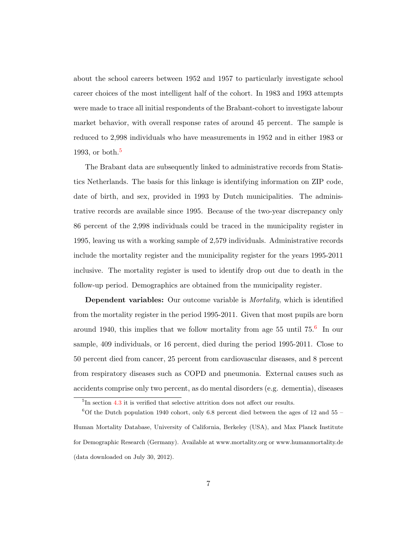about the school careers between 1952 and 1957 to particularly investigate school career choices of the most intelligent half of the cohort. In 1983 and 1993 attempts were made to trace all initial respondents of the Brabant-cohort to investigate labour market behavior, with overall response rates of around 45 percent. The sample is reduced to 2,998 individuals who have measurements in 1952 and in either 1983 or 1993, or both. $5$ 

The Brabant data are subsequently linked to administrative records from Statistics Netherlands. The basis for this linkage is identifying information on ZIP code, date of birth, and sex, provided in 1993 by Dutch municipalities. The administrative records are available since 1995. Because of the two-year discrepancy only 86 percent of the 2,998 individuals could be traced in the municipality register in 1995, leaving us with a working sample of 2,579 individuals. Administrative records include the mortality register and the municipality register for the years 1995-2011 inclusive. The mortality register is used to identify drop out due to death in the follow-up period. Demographics are obtained from the municipality register.

**Dependent variables:** Our outcome variable is *Mortality*, which is identified from the mortality register in the period 1995-2011. Given that most pupils are born around 1940, this implies that we follow mortality from age 55 until  $75<sup>6</sup>$  $75<sup>6</sup>$  $75<sup>6</sup>$  In our sample, 409 individuals, or 16 percent, died during the period 1995-2011. Close to 50 percent died from cancer, 25 percent from cardiovascular diseases, and 8 percent from respiratory diseases such as COPD and pneumonia. External causes such as accidents comprise only two percent, as do mental disorders (e.g. dementia), diseases

<span id="page-7-1"></span><span id="page-7-0"></span><sup>&</sup>lt;sup>5</sup>In section [4.3](#page-23-0) it is verified that selective attrition does not affect our results.

 ${}^{6}$ Of the Dutch population 1940 cohort, only 6.8 percent died between the ages of 12 and 55 – Human Mortality Database, University of California, Berkeley (USA), and Max Planck Institute for Demographic Research (Germany). Available at www.mortality.org or www.humanmortality.de (data downloaded on July 30, 2012).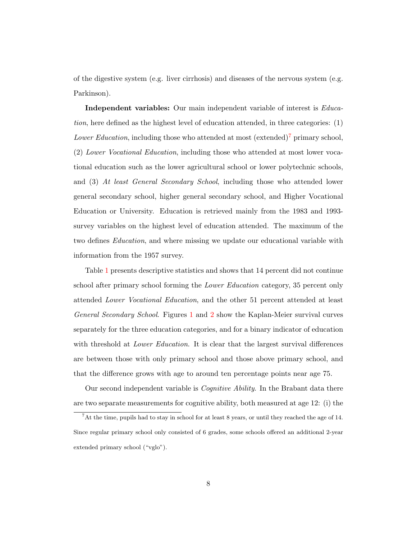of the digestive system (e.g. liver cirrhosis) and diseases of the nervous system (e.g. Parkinson).

Independent variables: Our main independent variable of interest is Education, here defined as the highest level of education attended, in three categories: (1) Lower Education, including those who attended at most  $(\text{extended})^7$  $(\text{extended})^7$  primary school, (2) Lower Vocational Education, including those who attended at most lower vocational education such as the lower agricultural school or lower polytechnic schools, and (3) At least General Secondary School, including those who attended lower general secondary school, higher general secondary school, and Higher Vocational Education or University. Education is retrieved mainly from the 1983 and 1993 survey variables on the highest level of education attended. The maximum of the two defines *Education*, and where missing we update our educational variable with information from the 1957 survey.

Table [1](#page-34-0) presents descriptive statistics and shows that 14 percent did not continue school after primary school forming the Lower Education category, 35 percent only attended Lower Vocational Education, and the other 51 percent attended at least General Secondary School. Figures [1](#page-36-0) and [2](#page-36-1) show the Kaplan-Meier survival curves separately for the three education categories, and for a binary indicator of education with threshold at *Lower Education*. It is clear that the largest survival differences are between those with only primary school and those above primary school, and that the difference grows with age to around ten percentage points near age 75.

Our second independent variable is Cognitive Ability. In the Brabant data there are two separate measurements for cognitive ability, both measured at age 12: (i) the

<span id="page-8-0"></span><sup>7</sup>At the time, pupils had to stay in school for at least 8 years, or until they reached the age of 14. Since regular primary school only consisted of 6 grades, some schools offered an additional 2-year extended primary school ("vglo").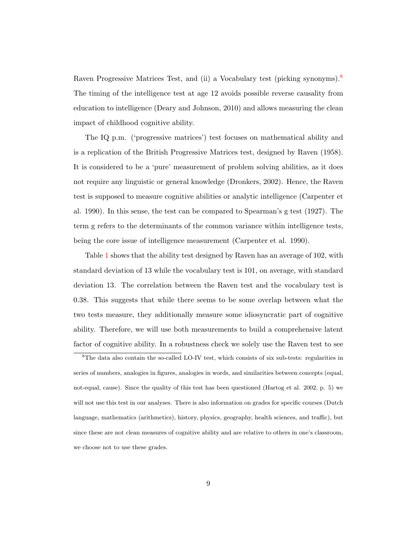Raven Progressive Matrices Test, and (ii) a Vocabulary test (picking synonyms).<sup>[8](#page-9-0)</sup> The timing of the intelligence test at age 12 avoids possible reverse causality from education to intelligence (Deary and Johnson, 2010) and allows measuring the clean impact of childhood cognitive ability.

The IQ p.m. ('progressive matrices') test focuses on mathematical ability and is a replication of the British Progressive Matrices test, designed by Raven (1958). It is considered to be a 'pure' measurement of problem solving abilities, as it does not require any linguistic or general knowledge (Dronkers, 2002). Hence, the Raven test is supposed to measure cognitive abilities or analytic intelligence (Carpenter et al. 1990). In this sense, the test can be compared to Spearman's g test (1927). The term g refers to the determinants of the common variance within intelligence tests, being the core issue of intelligence measurement (Carpenter et al. 1990).

Table [1](#page-34-0) shows that the ability test designed by Raven has an average of 102, with standard deviation of 13 while the vocabulary test is 101, on average, with standard deviation 13. The correlation between the Raven test and the vocabulary test is 0.38. This suggests that while there seems to be some overlap between what the two tests measure, they additionally measure some idiosyncratic part of cognitive ability. Therefore, we will use both measurements to build a comprehensive latent factor of cognitive ability. In a robustness check we solely use the Raven test to see

<span id="page-9-0"></span><sup>&</sup>lt;sup>8</sup>The data also contain the so-called LO-IV test, which consists of six sub-tests: regularities in series of numbers, analogies in figures, analogies in words, and similarities between concepts (equal, not-equal, cause). Since the quality of this test has been questioned (Hartog et al. 2002, p. 5) we will not use this test in our analyses. There is also information on grades for specific courses (Dutch language, mathematics (arithmetics), history, physics, geography, health sciences, and traffic), but since these are not clean measures of cognitive ability and are relative to others in one's classroom, we choose not to use these grades.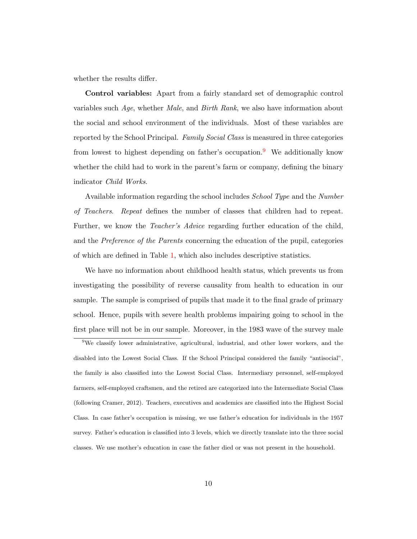whether the results differ.

Control variables: Apart from a fairly standard set of demographic control variables such Age, whether Male, and Birth Rank, we also have information about the social and school environment of the individuals. Most of these variables are reported by the School Principal. Family Social Class is measured in three categories from lowest to highest depending on father's occupation.<sup>[9](#page-10-0)</sup> We additionally know whether the child had to work in the parent's farm or company, defining the binary indicator Child Works.

Available information regarding the school includes School Type and the Number of Teachers. Repeat defines the number of classes that children had to repeat. Further, we know the *Teacher's Advice* regarding further education of the child, and the Preference of the Parents concerning the education of the pupil, categories of which are defined in Table [1,](#page-34-0) which also includes descriptive statistics.

We have no information about childhood health status, which prevents us from investigating the possibility of reverse causality from health to education in our sample. The sample is comprised of pupils that made it to the final grade of primary school. Hence, pupils with severe health problems impairing going to school in the first place will not be in our sample. Moreover, in the 1983 wave of the survey male

<span id="page-10-0"></span><sup>9</sup>We classify lower administrative, agricultural, industrial, and other lower workers, and the disabled into the Lowest Social Class. If the School Principal considered the family "antisocial", the family is also classified into the Lowest Social Class. Intermediary personnel, self-employed farmers, self-employed craftsmen, and the retired are categorized into the Intermediate Social Class (following Cramer, 2012). Teachers, executives and academics are classified into the Highest Social Class. In case father's occupation is missing, we use father's education for individuals in the 1957 survey. Father's education is classified into 3 levels, which we directly translate into the three social classes. We use mother's education in case the father died or was not present in the household.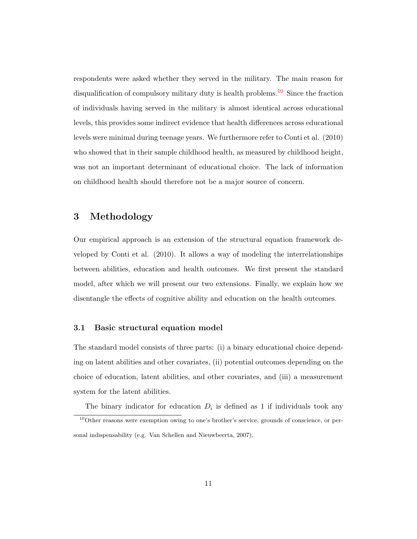respondents were asked whether they served in the military. The main reason for disqualification of compulsory military duty is health problems.<sup>[10](#page-11-1)</sup> Since the fraction of individuals having served in the military is almost identical across educational levels, this provides some indirect evidence that health differences across educational levels were minimal during teenage years. We furthermore refer to Conti et al. (2010) who showed that in their sample childhood health, as measured by childhood height, was not an important determinant of educational choice. The lack of information on childhood health should therefore not be a major source of concern.

### <span id="page-11-0"></span>3 Methodology

Our empirical approach is an extension of the structural equation framework developed by Conti et al. (2010). It allows a way of modeling the interrelationships between abilities, education and health outcomes. We first present the standard model, after which we will present our two extensions. Finally, we explain how we disentangle the effects of cognitive ability and education on the health outcomes.

#### 3.1 Basic structural equation model

The standard model consists of three parts: (i) a binary educational choice depending on latent abilities and other covariates, (ii) potential outcomes depending on the choice of education, latent abilities, and other covariates, and (iii) a measurement system for the latent abilities.

<span id="page-11-1"></span>The binary indicator for education  $D_i$  is defined as 1 if individuals took any

 $10$ Other reasons were exemption owing to one's brother's service, grounds of conscience, or personal indispensability (e.g. Van Schellen and Nieuwbeerta, 2007).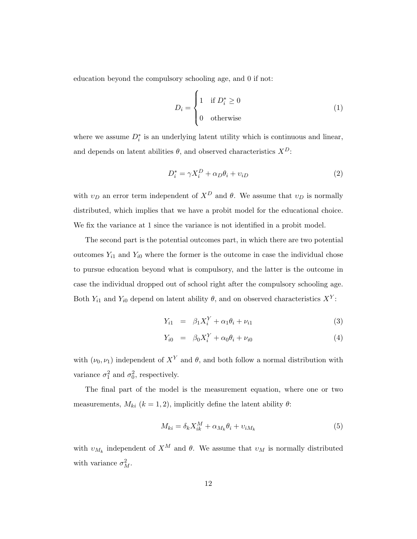education beyond the compulsory schooling age, and 0 if not:

<span id="page-12-0"></span>
$$
D_i = \begin{cases} 1 & \text{if } D_i^* \ge 0 \\ 0 & \text{otherwise} \end{cases}
$$
 (1)

where we assume  $D_i^*$  is an underlying latent utility which is continuous and linear, and depends on latent abilities  $\theta$ , and observed characteristics  $X^D$ :

<span id="page-12-1"></span>
$$
D_i^* = \gamma X_i^D + \alpha_D \theta_i + v_{iD}
$$
\n<sup>(2)</sup>

with  $v_D$  an error term independent of  $X^D$  and  $\theta$ . We assume that  $v_D$  is normally distributed, which implies that we have a probit model for the educational choice. We fix the variance at 1 since the variance is not identified in a probit model.

The second part is the potential outcomes part, in which there are two potential outcomes  $Y_{i1}$  and  $Y_{i0}$  where the former is the outcome in case the individual chose to pursue education beyond what is compulsory, and the latter is the outcome in case the individual dropped out of school right after the compulsory schooling age. Both  $Y_{i1}$  and  $Y_{i0}$  depend on latent ability  $\theta$ , and on observed characteristics  $X^{Y}$ :

$$
Y_{i1} = \beta_1 X_i^Y + \alpha_1 \theta_i + \nu_{i1} \tag{3}
$$

$$
Y_{i0} = \beta_0 X_i^Y + \alpha_0 \theta_i + \nu_{i0}
$$
 (4)

with  $(\nu_0, \nu_1)$  independent of  $X^Y$  and  $\theta$ , and both follow a normal distribution with variance  $\sigma_1^2$  and  $\sigma_0^2$ , respectively.

The final part of the model is the measurement equation, where one or two measurements,  $M_{ki}$  ( $k = 1, 2$ ), implicitly define the latent ability  $\theta$ :

<span id="page-12-2"></span>
$$
M_{ki} = \delta_k X_{ik}^M + \alpha_{M_k} \theta_i + v_{iM_k}
$$
\n<sup>(5)</sup>

with  $v_{M_k}$  independent of  $X^M$  and  $\theta$ . We assume that  $v_M$  is normally distributed with variance  $\sigma_M^2$ .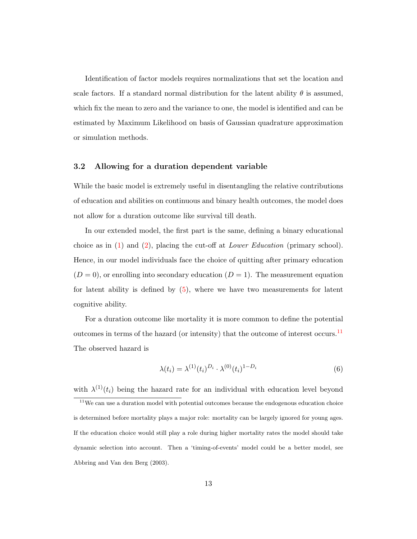Identification of factor models requires normalizations that set the location and scale factors. If a standard normal distribution for the latent ability  $\theta$  is assumed, which fix the mean to zero and the variance to one, the model is identified and can be estimated by Maximum Likelihood on basis of Gaussian quadrature approximation or simulation methods.

#### 3.2 Allowing for a duration dependent variable

While the basic model is extremely useful in disentangling the relative contributions of education and abilities on continuous and binary health outcomes, the model does not allow for a duration outcome like survival till death.

In our extended model, the first part is the same, defining a binary educational choice as in  $(1)$  and  $(2)$ , placing the cut-off at *Lower Education* (primary school). Hence, in our model individuals face the choice of quitting after primary education  $(D = 0)$ , or enrolling into secondary education  $(D = 1)$ . The measurement equation for latent ability is defined by [\(5\)](#page-12-2), where we have two measurements for latent cognitive ability.

For a duration outcome like mortality it is more common to define the potential outcomes in terms of the hazard (or intensity) that the outcome of interest occurs.<sup>[11](#page-13-0)</sup> The observed hazard is

$$
\lambda(t_i) = \lambda^{(1)}(t_i)^{D_i} \cdot \lambda^{(0)}(t_i)^{1 - D_i} \tag{6}
$$

<span id="page-13-0"></span>with  $\lambda^{(1)}(t_i)$  being the hazard rate for an individual with education level beyond

 $11$ We can use a duration model with potential outcomes because the endogenous education choice is determined before mortality plays a major role: mortality can be largely ignored for young ages. If the education choice would still play a role during higher mortality rates the model should take dynamic selection into account. Then a 'timing-of-events' model could be a better model, see Abbring and Van den Berg (2003).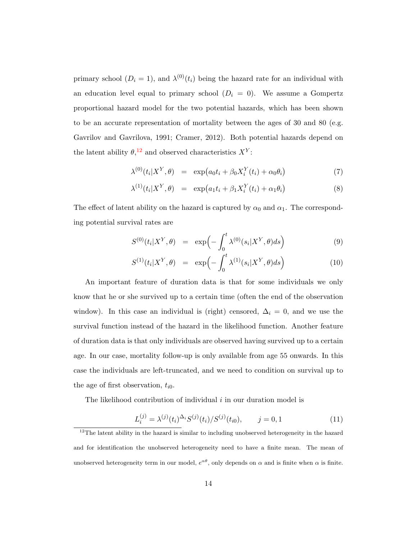primary school  $(D_i = 1)$ , and  $\lambda^{(0)}(t_i)$  being the hazard rate for an individual with an education level equal to primary school  $(D_i = 0)$ . We assume a Gompertz proportional hazard model for the two potential hazards, which has been shown to be an accurate representation of mortality between the ages of 30 and 80 (e.g. Gavrilov and Gavrilova, 1991; Cramer, 2012). Both potential hazards depend on the latent ability  $\theta$ ,<sup>[12](#page-14-0)</sup> and observed characteristics  $X^Y$ :

<span id="page-14-1"></span>
$$
\lambda^{(0)}(t_i|X^Y,\theta) = \exp\big(a_0t_i + \beta_0X_i^Y(t_i) + \alpha_0\theta_i\big) \tag{7}
$$

$$
\lambda^{(1)}(t_i|X^Y,\theta) = \exp\big(a_1t_i + \beta_1X_i^Y(t_i) + \alpha_1\theta_i\big) \tag{8}
$$

The effect of latent ability on the hazard is captured by  $\alpha_0$  and  $\alpha_1$ . The corresponding potential survival rates are

<span id="page-14-2"></span>
$$
S^{(0)}(t_i|X^Y,\theta) = \exp\left(-\int_0^t \lambda^{(0)}(s_i|X^Y,\theta)ds\right) \tag{9}
$$

$$
S^{(1)}(t_i|X^Y,\theta) = \exp\left(-\int_0^t \lambda^{(1)}(s_i|X^Y,\theta)ds\right) \tag{10}
$$

An important feature of duration data is that for some individuals we only know that he or she survived up to a certain time (often the end of the observation window). In this case an individual is (right) censored,  $\Delta_i = 0$ , and we use the survival function instead of the hazard in the likelihood function. Another feature of duration data is that only individuals are observed having survived up to a certain age. In our case, mortality follow-up is only available from age 55 onwards. In this case the individuals are left-truncated, and we need to condition on survival up to the age of first observation,  $t_{i0}$ .

The likelihood contribution of individual  $i$  in our duration model is

$$
L_i^{(j)} = \lambda^{(j)}(t_i)^{\Delta_i} S^{(j)}(t_i) / S^{(j)}(t_{i0}), \qquad j = 0, 1
$$
\n(11)

<span id="page-14-0"></span> $12$ The latent ability in the hazard is similar to including unobserved heterogeneity in the hazard and for identification the unobserved heterogeneity need to have a finite mean. The mean of unobserved heterogeneity term in our model,  $e^{\alpha\theta}$ , only depends on  $\alpha$  and is finite when  $\alpha$  is finite.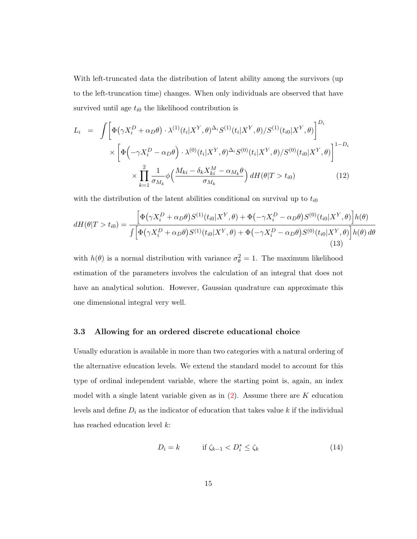With left-truncated data the distribution of latent ability among the survivors (up to the left-truncation time) changes. When only individuals are observed that have survived until age  $t_{i0}$  the likelihood contribution is

<span id="page-15-0"></span>
$$
L_i = \int \left[ \Phi(\gamma X_i^D + \alpha_D \theta) \cdot \lambda^{(1)}(t_i|X^Y, \theta)^{\Delta_i} S^{(1)}(t_i|X^Y, \theta) / S^{(1)}(t_{i0}|X^Y, \theta) \right]^{D_i}
$$
  
 
$$
\times \left[ \Phi\left( -\gamma X_i^D - \alpha_D \theta \right) \cdot \lambda^{(0)}(t_i|X^Y, \theta)^{\Delta_i} S^{(0)}(t_i|X^Y, \theta) / S^{(0)}(t_{i0}|X^Y, \theta) \right]^{1 - D_i}
$$
  
 
$$
\times \prod_{k=1}^2 \frac{1}{\sigma_{M_k}} \phi\left( \frac{M_{ki} - \delta_k X_{ki}^M - \alpha_{M_k} \theta}{\sigma_{M_k}} \right) dH(\theta|T > t_{i0}) \tag{12}
$$

with the distribution of the latent abilities conditional on survival up to  $t_{i0}$ 

$$
dH(\theta|T>t_{i0}) = \frac{\left[\Phi(\gamma X_i^D + \alpha_D \theta)S^{(1)}(t_{i0}|X^Y,\theta) + \Phi(-\gamma X_i^D - \alpha_D \theta)S^{(0)}(t_{i0}|X^Y,\theta)\right]h(\theta)}{\int \left[\Phi(\gamma X_i^D + \alpha_D \theta)S^{(1)}(t_{i0}|X^Y,\theta) + \Phi(-\gamma X_i^D - \alpha_D \theta)S^{(0)}(t_{i0}|X^Y,\theta)\right]h(\theta) d\theta}
$$
\n(13)

with  $h(\theta)$  is a normal distribution with variance  $\sigma_{\theta}^2 = 1$ . The maximum likelihood estimation of the parameters involves the calculation of an integral that does not have an analytical solution. However, Gaussian quadrature can approximate this one dimensional integral very well.

#### 3.3 Allowing for an ordered discrete educational choice

Usually education is available in more than two categories with a natural ordering of the alternative education levels. We extend the standard model to account for this type of ordinal independent variable, where the starting point is, again, an index model with a single latent variable given as in  $(2)$ . Assume there are K education levels and define  $D_i$  as the indicator of education that takes value k if the individual has reached education level k:

$$
D_i = k \qquad \text{if } \zeta_{k-1} < D_i^* \le \zeta_k \tag{14}
$$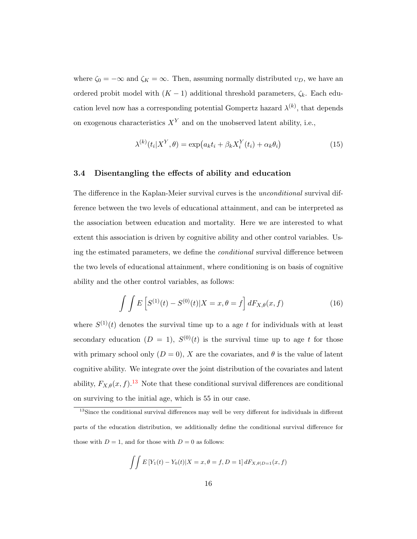where  $\zeta_0 = -\infty$  and  $\zeta_K = \infty$ . Then, assuming normally distributed  $v_D$ , we have an ordered probit model with  $(K - 1)$  additional threshold parameters,  $\zeta_k$ . Each education level now has a corresponding potential Gompertz hazard  $\lambda^{(k)}$ , that depends on exogenous characteristics  $X<sup>Y</sup>$  and on the unobserved latent ability, i.e.,

$$
\lambda^{(k)}(t_i|X^Y,\theta) = \exp\left(a_k t_i + \beta_k X_i^Y(t_i) + \alpha_k \theta_i\right) \tag{15}
$$

#### <span id="page-16-1"></span>3.4 Disentangling the effects of ability and education

The difference in the Kaplan-Meier survival curves is the *unconditional* survival difference between the two levels of educational attainment, and can be interpreted as the association between education and mortality. Here we are interested to what extent this association is driven by cognitive ability and other control variables. Using the estimated parameters, we define the conditional survival difference between the two levels of educational attainment, where conditioning is on basis of cognitive ability and the other control variables, as follows:

$$
\int \int E\left[S^{(1)}(t) - S^{(0)}(t)|X = x, \theta = f\right] dF_{X,\theta}(x, f) \tag{16}
$$

where  $S^{(1)}(t)$  denotes the survival time up to a age t for individuals with at least secondary education  $(D = 1)$ ,  $S^{(0)}(t)$  is the survival time up to age t for those with primary school only  $(D = 0)$ , X are the covariates, and  $\theta$  is the value of latent cognitive ability. We integrate over the joint distribution of the covariates and latent ability,  $F_{X,\theta}(x, f)$ .<sup>[13](#page-16-0)</sup> Note that these conditional survival differences are conditional on surviving to the initial age, which is 55 in our case.

$$
\int \int E[Y_1(t) - Y_0(t)|X = x, \theta = f, D = 1] dF_{X, \theta|D=1}(x, f)
$$

<span id="page-16-0"></span><sup>&</sup>lt;sup>13</sup>Since the conditional survival differences may well be very different for individuals in different parts of the education distribution, we additionally define the conditional survival difference for those with  $D = 1$ , and for those with  $D = 0$  as follows: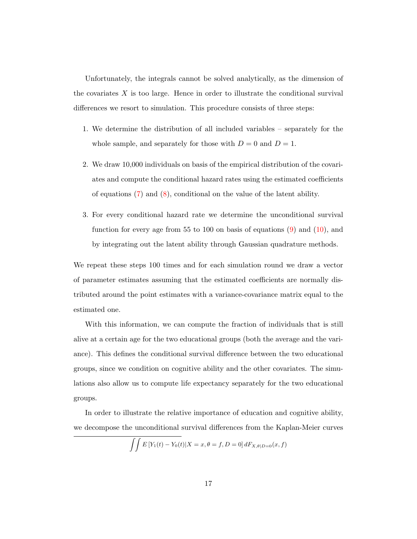Unfortunately, the integrals cannot be solved analytically, as the dimension of the covariates  $X$  is too large. Hence in order to illustrate the conditional survival differences we resort to simulation. This procedure consists of three steps:

- 1. We determine the distribution of all included variables separately for the whole sample, and separately for those with  $D = 0$  and  $D = 1$ .
- 2. We draw 10,000 individuals on basis of the empirical distribution of the covariates and compute the conditional hazard rates using the estimated coefficients of equations [\(7\)](#page-14-1) and [\(8\)](#page-14-1), conditional on the value of the latent ability.
- 3. For every conditional hazard rate we determine the unconditional survival function for every age from 55 to 100 on basis of equations  $(9)$  and  $(10)$ , and by integrating out the latent ability through Gaussian quadrature methods.

We repeat these steps 100 times and for each simulation round we draw a vector of parameter estimates assuming that the estimated coefficients are normally distributed around the point estimates with a variance-covariance matrix equal to the estimated one.

With this information, we can compute the fraction of individuals that is still alive at a certain age for the two educational groups (both the average and the variance). This defines the conditional survival difference between the two educational groups, since we condition on cognitive ability and the other covariates. The simulations also allow us to compute life expectancy separately for the two educational groups.

In order to illustrate the relative importance of education and cognitive ability, we decompose the unconditional survival differences from the Kaplan-Meier curves

$$
\int \int E[Y_1(t) - Y_0(t)|X = x, \theta = f, D = 0] dF_{X, \theta|D=0}(x, f)
$$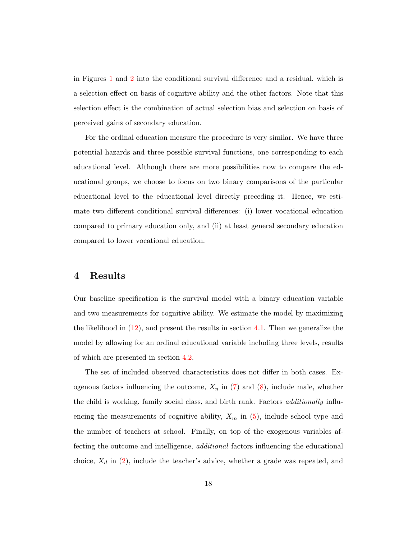in Figures [1](#page-36-0) and [2](#page-36-1) into the conditional survival difference and a residual, which is a selection effect on basis of cognitive ability and the other factors. Note that this selection effect is the combination of actual selection bias and selection on basis of perceived gains of secondary education.

For the ordinal education measure the procedure is very similar. We have three potential hazards and three possible survival functions, one corresponding to each educational level. Although there are more possibilities now to compare the educational groups, we choose to focus on two binary comparisons of the particular educational level to the educational level directly preceding it. Hence, we estimate two different conditional survival differences: (i) lower vocational education compared to primary education only, and (ii) at least general secondary education compared to lower vocational education.

#### <span id="page-18-0"></span>4 Results

Our baseline specification is the survival model with a binary education variable and two measurements for cognitive ability. We estimate the model by maximizing the likelihood in  $(12)$ , and present the results in section [4.1.](#page-19-0) Then we generalize the model by allowing for an ordinal educational variable including three levels, results of which are presented in section [4.2.](#page-21-0)

The set of included observed characteristics does not differ in both cases. Exogenous factors influencing the outcome,  $X_y$  in [\(7\)](#page-14-1) and [\(8\)](#page-14-1), include male, whether the child is working, family social class, and birth rank. Factors additionally influencing the measurements of cognitive ability,  $X_m$  in [\(5\)](#page-12-2), include school type and the number of teachers at school. Finally, on top of the exogenous variables affecting the outcome and intelligence, *additional* factors influencing the educational choice,  $X_d$  in [\(2\)](#page-12-1), include the teacher's advice, whether a grade was repeated, and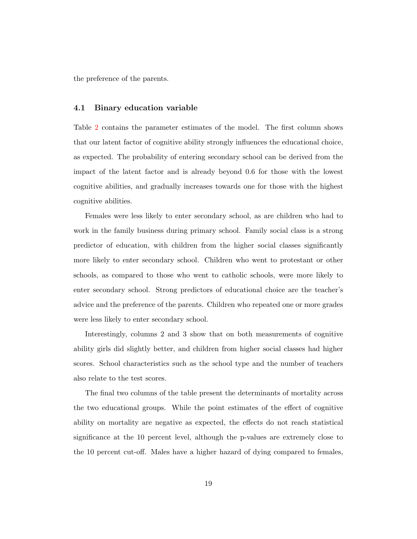the preference of the parents.

#### <span id="page-19-0"></span>4.1 Binary education variable

Table [2](#page-35-0) contains the parameter estimates of the model. The first column shows that our latent factor of cognitive ability strongly influences the educational choice, as expected. The probability of entering secondary school can be derived from the impact of the latent factor and is already beyond 0.6 for those with the lowest cognitive abilities, and gradually increases towards one for those with the highest cognitive abilities.

Females were less likely to enter secondary school, as are children who had to work in the family business during primary school. Family social class is a strong predictor of education, with children from the higher social classes significantly more likely to enter secondary school. Children who went to protestant or other schools, as compared to those who went to catholic schools, were more likely to enter secondary school. Strong predictors of educational choice are the teacher's advice and the preference of the parents. Children who repeated one or more grades were less likely to enter secondary school.

Interestingly, columns 2 and 3 show that on both measurements of cognitive ability girls did slightly better, and children from higher social classes had higher scores. School characteristics such as the school type and the number of teachers also relate to the test scores.

The final two columns of the table present the determinants of mortality across the two educational groups. While the point estimates of the effect of cognitive ability on mortality are negative as expected, the effects do not reach statistical significance at the 10 percent level, although the p-values are extremely close to the 10 percent cut-off. Males have a higher hazard of dying compared to females,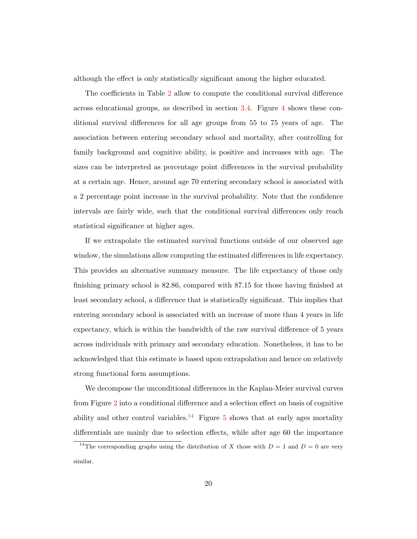although the effect is only statistically significant among the higher educated.

The coefficients in Table [2](#page-35-0) allow to compute the conditional survival difference across educational groups, as described in section [3.4.](#page-16-1) Figure [4](#page-38-0) shows these conditional survival differences for all age groups from 55 to 75 years of age. The association between entering secondary school and mortality, after controlling for family background and cognitive ability, is positive and increases with age. The sizes can be interpreted as percentage point differences in the survival probability at a certain age. Hence, around age 70 entering secondary school is associated with a 2 percentage point increase in the survival probability. Note that the confidence intervals are fairly wide, such that the conditional survival differences only reach statistical significance at higher ages.

If we extrapolate the estimated survival functions outside of our observed age window, the simulations allow computing the estimated differences in life expectancy. This provides an alternative summary measure. The life expectancy of those only finishing primary school is 82.86, compared with 87.15 for those having finished at least secondary school, a difference that is statistically significant. This implies that entering secondary school is associated with an increase of more than 4 years in life expectancy, which is within the bandwidth of the raw survival difference of 5 years across individuals with primary and secondary education. Nonetheless, it has to be acknowledged that this estimate is based upon extrapolation and hence on relatively strong functional form assumptions.

We decompose the unconditional differences in the Kaplan-Meier survival curves from Figure [2](#page-36-1) into a conditional difference and a selection effect on basis of cognitive ability and other control variables.<sup>[14](#page-20-0)</sup> Figure [5](#page-39-0) shows that at early ages mortality differentials are mainly due to selection effects, while after age 60 the importance

<span id="page-20-0"></span><sup>&</sup>lt;sup>14</sup>The corresponding graphs using the distribution of X those with  $D = 1$  and  $D = 0$  are very similar.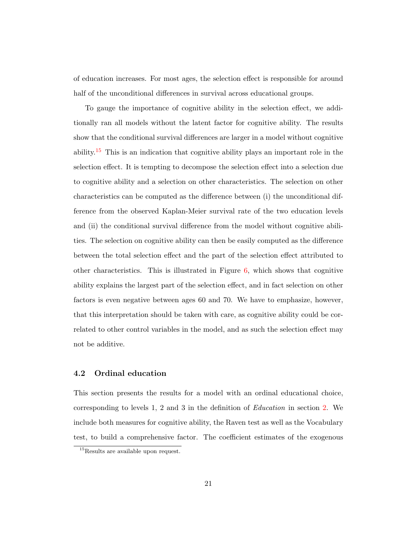of education increases. For most ages, the selection effect is responsible for around half of the unconditional differences in survival across educational groups.

To gauge the importance of cognitive ability in the selection effect, we additionally ran all models without the latent factor for cognitive ability. The results show that the conditional survival differences are larger in a model without cognitive ability.[15](#page-21-1) This is an indication that cognitive ability plays an important role in the selection effect. It is tempting to decompose the selection effect into a selection due to cognitive ability and a selection on other characteristics. The selection on other characteristics can be computed as the difference between (i) the unconditional difference from the observed Kaplan-Meier survival rate of the two education levels and (ii) the conditional survival difference from the model without cognitive abilities. The selection on cognitive ability can then be easily computed as the difference between the total selection effect and the part of the selection effect attributed to other characteristics. This is illustrated in Figure  $6$ , which shows that cognitive ability explains the largest part of the selection effect, and in fact selection on other factors is even negative between ages 60 and 70. We have to emphasize, however, that this interpretation should be taken with care, as cognitive ability could be correlated to other control variables in the model, and as such the selection effect may not be additive.

#### <span id="page-21-0"></span>4.2 Ordinal education

This section presents the results for a model with an ordinal educational choice, corresponding to levels 1, 2 and 3 in the definition of Education in section [2.](#page-6-0) We include both measures for cognitive ability, the Raven test as well as the Vocabulary test, to build a comprehensive factor. The coefficient estimates of the exogenous

<span id="page-21-1"></span><sup>&</sup>lt;sup>15</sup>Results are available upon request.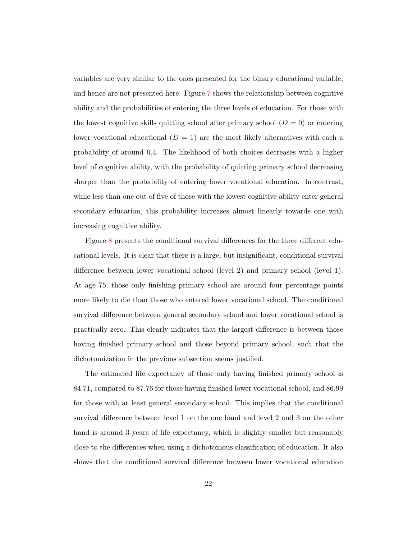variables are very similar to the ones presented for the binary educational variable, and hence are not presented here. Figure [7](#page-41-0) shows the relationship between cognitive ability and the probabilities of entering the three levels of education. For those with the lowest cognitive skills quitting school after primary school  $(D = 0)$  or entering lower vocational educational  $(D = 1)$  are the most likely alternatives with each a probability of around 0.4. The likelihood of both choices decreases with a higher level of cognitive ability, with the probability of quitting primary school decreasing sharper than the probability of entering lower vocational education. In contrast, while less than one out of five of those with the lowest cognitive ability enter general secondary education, this probability increases almost linearly towards one with increasing cognitive ability.

Figure [8](#page-42-0) presents the conditional survival differences for the three different educational levels. It is clear that there is a large, but insignificant, conditional survival difference between lower vocational school (level 2) and primary school (level 1). At age 75, those only finishing primary school are around four percentage points more likely to die than those who entered lower vocational school. The conditional survival difference between general secondary school and lower vocational school is practically zero. This clearly indicates that the largest difference is between those having finished primary school and those beyond primary school, such that the dichotomization in the previous subsection seems justified.

The estimated life expectancy of those only having finished primary school is 84.71, compared to 87.76 for those having finished lower vocational school, and 86.99 for those with at least general secondary school. This implies that the conditional survival difference between level 1 on the one hand and level 2 and 3 on the other hand is around 3 years of life expectancy, which is slightly smaller but reasonably close to the differences when using a dichotomous classification of education. It also shows that the conditional survival difference between lower vocational education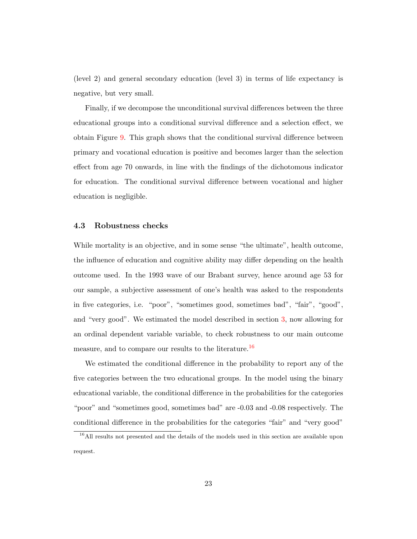(level 2) and general secondary education (level 3) in terms of life expectancy is negative, but very small.

Finally, if we decompose the unconditional survival differences between the three educational groups into a conditional survival difference and a selection effect, we obtain Figure [9.](#page-43-0) This graph shows that the conditional survival difference between primary and vocational education is positive and becomes larger than the selection effect from age 70 onwards, in line with the findings of the dichotomous indicator for education. The conditional survival difference between vocational and higher education is negligible.

#### <span id="page-23-0"></span>4.3 Robustness checks

While mortality is an objective, and in some sense "the ultimate", health outcome, the influence of education and cognitive ability may differ depending on the health outcome used. In the 1993 wave of our Brabant survey, hence around age 53 for our sample, a subjective assessment of one's health was asked to the respondents in five categories, i.e. "poor", "sometimes good, sometimes bad", "fair", "good", and "very good". We estimated the model described in section [3,](#page-11-0) now allowing for an ordinal dependent variable variable, to check robustness to our main outcome measure, and to compare our results to the literature.<sup>[16](#page-23-1)</sup>

We estimated the conditional difference in the probability to report any of the five categories between the two educational groups. In the model using the binary educational variable, the conditional difference in the probabilities for the categories "poor" and "sometimes good, sometimes bad" are -0.03 and -0.08 respectively. The conditional difference in the probabilities for the categories "fair" and "very good"

<span id="page-23-1"></span><sup>&</sup>lt;sup>16</sup>All results not presented and the details of the models used in this section are available upon request.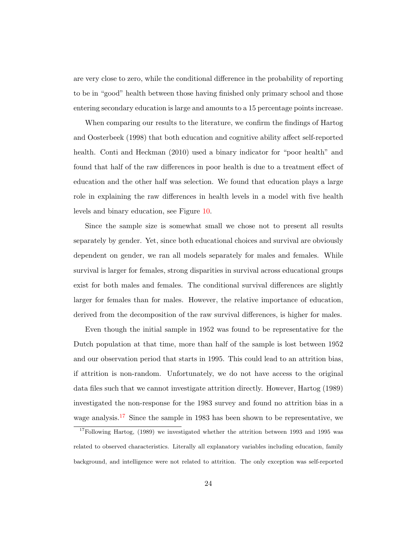are very close to zero, while the conditional difference in the probability of reporting to be in "good" health between those having finished only primary school and those entering secondary education is large and amounts to a 15 percentage points increase.

When comparing our results to the literature, we confirm the findings of Hartog and Oosterbeek (1998) that both education and cognitive ability affect self-reported health. Conti and Heckman (2010) used a binary indicator for "poor health" and found that half of the raw differences in poor health is due to a treatment effect of education and the other half was selection. We found that education plays a large role in explaining the raw differences in health levels in a model with five health levels and binary education, see Figure [10.](#page-44-0)

Since the sample size is somewhat small we chose not to present all results separately by gender. Yet, since both educational choices and survival are obviously dependent on gender, we ran all models separately for males and females. While survival is larger for females, strong disparities in survival across educational groups exist for both males and females. The conditional survival differences are slightly larger for females than for males. However, the relative importance of education, derived from the decomposition of the raw survival differences, is higher for males.

Even though the initial sample in 1952 was found to be representative for the Dutch population at that time, more than half of the sample is lost between 1952 and our observation period that starts in 1995. This could lead to an attrition bias, if attrition is non-random. Unfortunately, we do not have access to the original data files such that we cannot investigate attrition directly. However, Hartog (1989) investigated the non-response for the 1983 survey and found no attrition bias in a wage analysis.<sup>[17](#page-24-0)</sup> Since the sample in 1983 has been shown to be representative, we

<span id="page-24-0"></span> $17$ Following Hartog, (1989) we investigated whether the attrition between 1993 and 1995 was related to observed characteristics. Literally all explanatory variables including education, family background, and intelligence were not related to attrition. The only exception was self-reported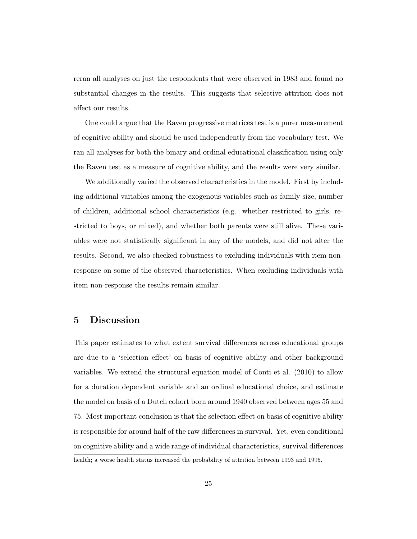reran all analyses on just the respondents that were observed in 1983 and found no substantial changes in the results. This suggests that selective attrition does not affect our results.

One could argue that the Raven progressive matrices test is a purer measurement of cognitive ability and should be used independently from the vocabulary test. We ran all analyses for both the binary and ordinal educational classification using only the Raven test as a measure of cognitive ability, and the results were very similar.

We additionally varied the observed characteristics in the model. First by including additional variables among the exogenous variables such as family size, number of children, additional school characteristics (e.g. whether restricted to girls, restricted to boys, or mixed), and whether both parents were still alive. These variables were not statistically significant in any of the models, and did not alter the results. Second, we also checked robustness to excluding individuals with item nonresponse on some of the observed characteristics. When excluding individuals with item non-response the results remain similar.

#### <span id="page-25-0"></span>5 Discussion

This paper estimates to what extent survival differences across educational groups are due to a 'selection effect' on basis of cognitive ability and other background variables. We extend the structural equation model of Conti et al. (2010) to allow for a duration dependent variable and an ordinal educational choice, and estimate the model on basis of a Dutch cohort born around 1940 observed between ages 55 and 75. Most important conclusion is that the selection effect on basis of cognitive ability is responsible for around half of the raw differences in survival. Yet, even conditional on cognitive ability and a wide range of individual characteristics, survival differences health; a worse health status increased the probability of attrition between 1993 and 1995.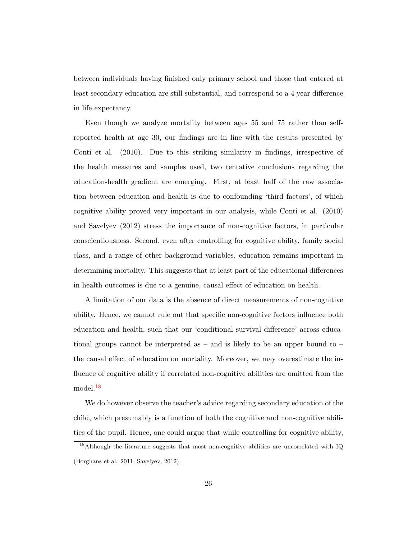between individuals having finished only primary school and those that entered at least secondary education are still substantial, and correspond to a 4 year difference in life expectancy.

Even though we analyze mortality between ages 55 and 75 rather than selfreported health at age 30, our findings are in line with the results presented by Conti et al. (2010). Due to this striking similarity in findings, irrespective of the health measures and samples used, two tentative conclusions regarding the education-health gradient are emerging. First, at least half of the raw association between education and health is due to confounding 'third factors', of which cognitive ability proved very important in our analysis, while Conti et al. (2010) and Savelyev (2012) stress the importance of non-cognitive factors, in particular conscientiousness. Second, even after controlling for cognitive ability, family social class, and a range of other background variables, education remains important in determining mortality. This suggests that at least part of the educational differences in health outcomes is due to a genuine, causal effect of education on health.

A limitation of our data is the absence of direct measurements of non-cognitive ability. Hence, we cannot rule out that specific non-cognitive factors influence both education and health, such that our 'conditional survival difference' across educational groups cannot be interpreted as – and is likely to be an upper bound to – the causal effect of education on mortality. Moreover, we may overestimate the influence of cognitive ability if correlated non-cognitive abilities are omitted from the model.[18](#page-26-0)

We do however observe the teacher's advice regarding secondary education of the child, which presumably is a function of both the cognitive and non-cognitive abilities of the pupil. Hence, one could argue that while controlling for cognitive ability,

<span id="page-26-0"></span><sup>&</sup>lt;sup>18</sup>Although the literature suggests that most non-cognitive abilities are uncorrelated with IQ (Borghans et al. 2011; Savelyev, 2012).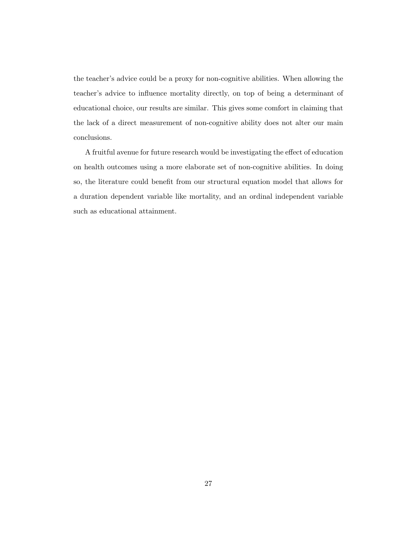the teacher's advice could be a proxy for non-cognitive abilities. When allowing the teacher's advice to influence mortality directly, on top of being a determinant of educational choice, our results are similar. This gives some comfort in claiming that the lack of a direct measurement of non-cognitive ability does not alter our main conclusions.

A fruitful avenue for future research would be investigating the effect of education on health outcomes using a more elaborate set of non-cognitive abilities. In doing so, the literature could benefit from our structural equation model that allows for a duration dependent variable like mortality, and an ordinal independent variable such as educational attainment.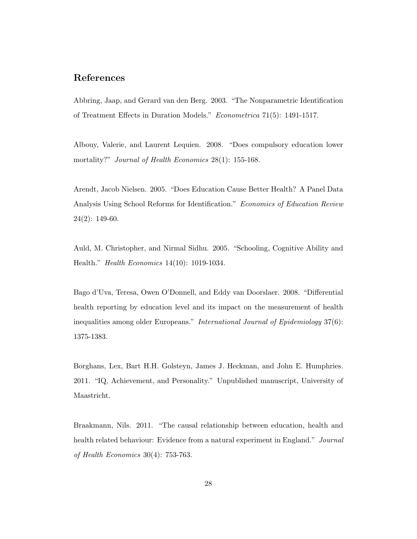#### References

Abbring, Jaap, and Gerard van den Berg. 2003. "The Nonparametric Identification of Treatment Effects in Duration Models." Econometrica 71(5): 1491-1517.

Albouy, Valerie, and Laurent Lequien. 2008. "Does compulsory education lower mortality?" *Journal of Health Economics* 28(1): 155-168.

Arendt, Jacob Nielsen. 2005. "Does Education Cause Better Health? A Panel Data Analysis Using School Reforms for Identification." Economics of Education Review  $24(2): 149-60.$ 

Auld, M. Christopher, and Nirmal Sidhu. 2005. "Schooling, Cognitive Ability and Health." Health Economics 14(10): 1019-1034.

Bago d'Uva, Teresa, Owen O'Donnell, and Eddy van Doorslaer. 2008. "Differential health reporting by education level and its impact on the measurement of health inequalities among older Europeans." International Journal of Epidemiology 37(6): 1375-1383.

Borghans, Lex, Bart H.H. Golsteyn, James J. Heckman, and John E. Humphries. 2011. "IQ, Achievement, and Personality." Unpublished manuscript, University of Maastricht.

Braakmann, Nils. 2011. "The causal relationship between education, health and health related behaviour: Evidence from a natural experiment in England." Journal of Health Economics 30(4): 753-763.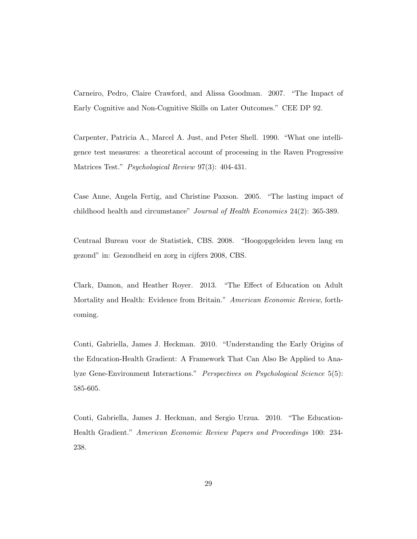Carneiro, Pedro, Claire Crawford, and Alissa Goodman. 2007. "The Impact of Early Cognitive and Non-Cognitive Skills on Later Outcomes." CEE DP 92.

Carpenter, Patricia A., Marcel A. Just, and Peter Shell. 1990. "What one intelligence test measures: a theoretical account of processing in the Raven Progressive Matrices Test." *Psychological Review* 97(3): 404-431.

Case Anne, Angela Fertig, and Christine Paxson. 2005. "The lasting impact of childhood health and circumstance" Journal of Health Economics 24(2): 365-389.

Centraal Bureau voor de Statistiek, CBS. 2008. "Hoogopgeleiden leven lang en gezond" in: Gezondheid en zorg in cijfers 2008, CBS.

Clark, Damon, and Heather Royer. 2013. "The Effect of Education on Adult Mortality and Health: Evidence from Britain." American Economic Review, forthcoming.

Conti, Gabriella, James J. Heckman. 2010. "Understanding the Early Origins of the Education-Health Gradient: A Framework That Can Also Be Applied to Analyze Gene-Environment Interactions." Perspectives on Psychological Science 5(5): 585-605.

Conti, Gabriella, James J. Heckman, and Sergio Urzua. 2010. "The Education-Health Gradient." American Economic Review Papers and Proceedings 100: 234- 238.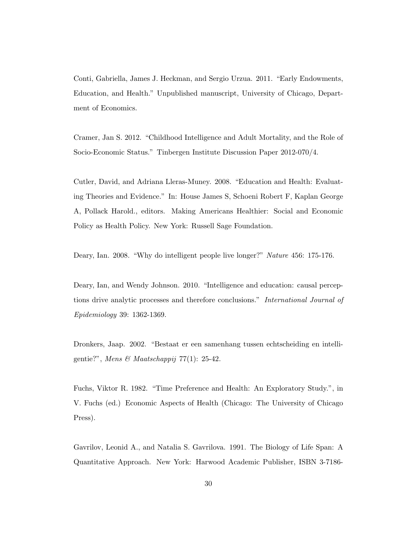Conti, Gabriella, James J. Heckman, and Sergio Urzua. 2011. "Early Endowments, Education, and Health." Unpublished manuscript, University of Chicago, Department of Economics.

Cramer, Jan S. 2012. "Childhood Intelligence and Adult Mortality, and the Role of Socio-Economic Status." Tinbergen Institute Discussion Paper 2012-070/4.

Cutler, David, and Adriana Lleras-Muney. 2008. "Education and Health: Evaluating Theories and Evidence." In: House James S, Schoeni Robert F, Kaplan George A, Pollack Harold., editors. Making Americans Healthier: Social and Economic Policy as Health Policy. New York: Russell Sage Foundation.

Deary, Ian. 2008. "Why do intelligent people live longer?" Nature 456: 175-176.

Deary, Ian, and Wendy Johnson. 2010. "Intelligence and education: causal perceptions drive analytic processes and therefore conclusions." International Journal of Epidemiology 39: 1362-1369.

Dronkers, Jaap. 2002. "Bestaat er een samenhang tussen echtscheiding en intelligentie?", Mens & Maatschappij 77(1): 25-42.

Fuchs, Viktor R. 1982. "Time Preference and Health: An Exploratory Study.", in V. Fuchs (ed.) Economic Aspects of Health (Chicago: The University of Chicago Press).

Gavrilov, Leonid A., and Natalia S. Gavrilova. 1991. The Biology of Life Span: A Quantitative Approach. New York: Harwood Academic Publisher, ISBN 3-7186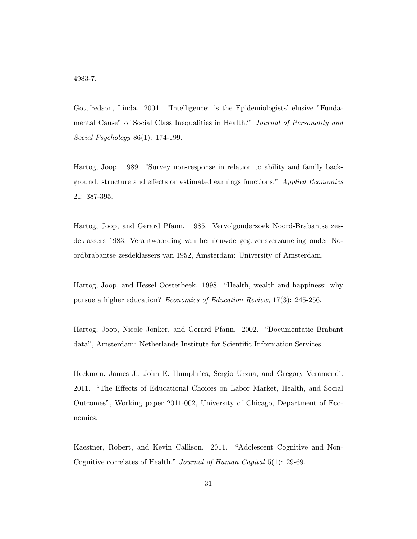4983-7.

Gottfredson, Linda. 2004. "Intelligence: is the Epidemiologists' elusive "Fundamental Cause" of Social Class Inequalities in Health?" Journal of Personality and Social Psychology 86(1): 174-199.

Hartog, Joop. 1989. "Survey non-response in relation to ability and family background: structure and effects on estimated earnings functions." Applied Economics 21: 387-395.

Hartog, Joop, and Gerard Pfann. 1985. Vervolgonderzoek Noord-Brabantse zesdeklassers 1983, Verantwoording van hernieuwde gegevensverzameling onder Noordbrabantse zesdeklassers van 1952, Amsterdam: University of Amsterdam.

Hartog, Joop, and Hessel Oosterbeek. 1998. "Health, wealth and happiness: why pursue a higher education? Economics of Education Review, 17(3): 245-256.

Hartog, Joop, Nicole Jonker, and Gerard Pfann. 2002. "Documentatie Brabant data", Amsterdam: Netherlands Institute for Scientific Information Services.

Heckman, James J., John E. Humphries, Sergio Urzua, and Gregory Veramendi. 2011. "The Effects of Educational Choices on Labor Market, Health, and Social Outcomes", Working paper 2011-002, University of Chicago, Department of Economics.

Kaestner, Robert, and Kevin Callison. 2011. "Adolescent Cognitive and Non-Cognitive correlates of Health." Journal of Human Capital 5(1): 29-69.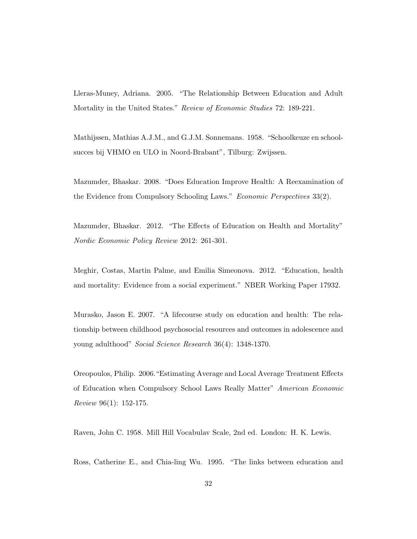Lleras-Muney, Adriana. 2005. "The Relationship Between Education and Adult Mortality in the United States." Review of Economic Studies 72: 189-221.

Mathijssen, Mathias A.J.M., and G.J.M. Sonnemans. 1958. "Schoolkeuze en schoolsucces bij VHMO en ULO in Noord-Brabant", Tilburg: Zwijssen.

Mazumder, Bhaskar. 2008. "Does Education Improve Health: A Reexamination of the Evidence from Compulsory Schooling Laws." Economic Perspectives 33(2).

Mazumder, Bhaskar. 2012. "The Effects of Education on Health and Mortality" Nordic Economic Policy Review 2012: 261-301.

Meghir, Costas, Martin Palme, and Emilia Simeonova. 2012. "Education, health and mortality: Evidence from a social experiment." NBER Working Paper 17932.

Murasko, Jason E. 2007. "A lifecourse study on education and health: The relationship between childhood psychosocial resources and outcomes in adolescence and young adulthood" Social Science Research 36(4): 1348-1370.

Oreopoulos, Philip. 2006."Estimating Average and Local Average Treatment Effects of Education when Compulsory School Laws Really Matter" American Economic Review 96(1): 152-175.

Raven, John C. 1958. Mill Hill Vocabulav Scale, 2nd ed. London: H. K. Lewis.

Ross, Catherine E., and Chia-ling Wu. 1995. "The links between education and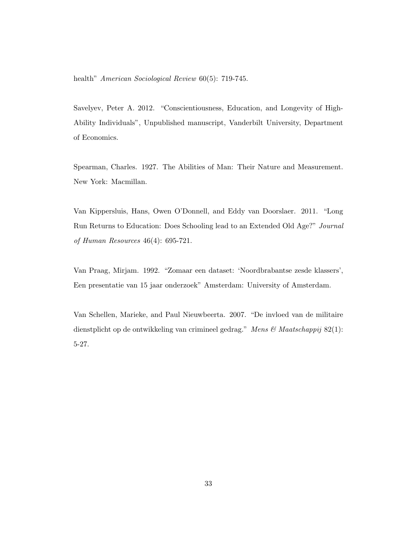health" American Sociological Review 60(5): 719-745.

Savelyev, Peter A. 2012. "Conscientiousness, Education, and Longevity of High-Ability Individuals", Unpublished manuscript, Vanderbilt University, Department of Economics.

Spearman, Charles. 1927. The Abilities of Man: Their Nature and Measurement. New York: Macmillan.

Van Kippersluis, Hans, Owen O'Donnell, and Eddy van Doorslaer. 2011. "Long Run Returns to Education: Does Schooling lead to an Extended Old Age?" Journal of Human Resources 46(4): 695-721.

Van Praag, Mirjam. 1992. "Zomaar een dataset: 'Noordbrabantse zesde klassers', Een presentatie van 15 jaar onderzoek" Amsterdam: University of Amsterdam.

Van Schellen, Marieke, and Paul Nieuwbeerta. 2007. "De invloed van de militaire dienstplicht op de ontwikkeling van crimineel gedrag." Mens & Maatschappij 82(1): 5-27.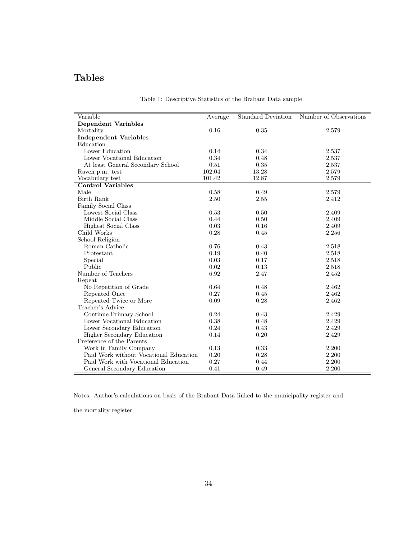# <span id="page-34-0"></span>Tables

| Variable                               | Average | <b>Standard Deviation</b> | Number of Observations |
|----------------------------------------|---------|---------------------------|------------------------|
| <b>Dependent Variables</b>             |         |                           |                        |
| Mortality                              | 0.16    | 0.35                      | 2,579                  |
| <b>Independent Variables</b>           |         |                           |                        |
| Education                              |         |                           |                        |
| Lower Education                        | 0.14    | 0.34                      | 2,537                  |
| Lower Vocational Education             | 0.34    | 0.48                      | 2,537                  |
| At least General Secondary School      | 0.51    | 0.35                      | 2,537                  |
| Raven p.m. test                        | 102.04  | 13.28                     | 2,579                  |
| Vocabulary test                        | 101.42  | 12.87                     | 2,579                  |
| <b>Control Variables</b>               |         |                           |                        |
| Male                                   | 0.58    | 0.49                      | 2,579                  |
| Birth Rank                             | 2.50    | 2.55                      | 2,412                  |
| Family Social Class                    |         |                           |                        |
| Lowest Social Class                    | 0.53    | 0.50                      | 2,409                  |
| Middle Social Class                    | 0.44    | 0.50                      | 2,409                  |
| Highest Social Class                   | 0.03    | 0.16                      | 2,409                  |
| Child Works                            | 0.28    | 0.45                      | 2,256                  |
| School Religion                        |         |                           |                        |
| Roman-Catholic                         | 0.76    | 0.43                      | 2,518                  |
| Protestant                             | 0.19    | 0.40                      | 2,518                  |
| Special                                | 0.03    | 0.17                      | 2,518                  |
| Public                                 | 0.02    | 0.13                      | 2,518                  |
| Number of Teachers                     | 6.92    | 2.47                      | 2,452                  |
| Repeat                                 |         |                           |                        |
| No Repetition of Grade                 | 0.64    | 0.48                      | 2,462                  |
| Repeated Once                          | 0.27    | 0.45                      | 2,462                  |
| Repeated Twice or More                 | 0.09    | 0.28                      | 2,462                  |
| Teacher's Advice                       |         |                           |                        |
| Continue Primary School                | 0.24    | 0.43                      | 2,429                  |
| Lower Vocational Education             | 0.38    | 0.48                      | 2,429                  |
| Lower Secondary Education              | 0.24    | 0.43                      | 2,429                  |
| Higher Secondary Education             | 0.14    | 0.20                      | 2,429                  |
| Preference of the Parents              |         |                           |                        |
| Work in Family Company                 | 0.13    | 0.33                      | 2,200                  |
| Paid Work without Vocational Education | 0.20    | 0.28                      | 2,200                  |
| Paid Work with Vocational Education    | 0.27    | 0.44                      | 2,200                  |
| General Secondary Education            | 0.41    | 0.49                      | 2,200                  |

#### Table 1: Descriptive Statistics of the Brabant Data sample

Notes: Author's calculations on basis of the Brabant Data linked to the municipality register and

the mortality register.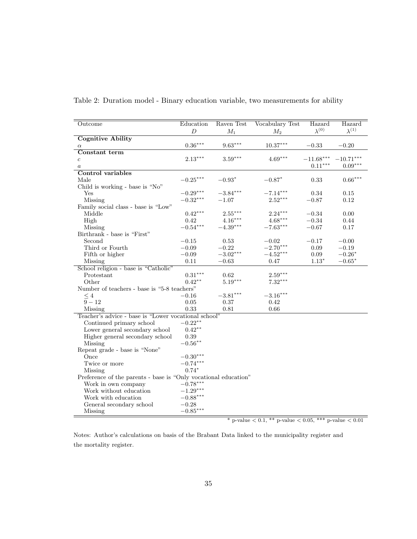| Outcome                                                         | Education        | Raven Test | <b>Vocabulary Test</b> | Hazard          | Hazard          |  |  |
|-----------------------------------------------------------------|------------------|------------|------------------------|-----------------|-----------------|--|--|
|                                                                 | $\boldsymbol{D}$ | $M_1$      | $M_2$                  | $\lambda^{(0)}$ | $\lambda^{(1)}$ |  |  |
| <b>Cognitive Ability</b>                                        |                  |            |                        |                 |                 |  |  |
| $\alpha$                                                        | $0.36***$        | $9.63***$  | $10.37^{\ast\ast\ast}$ | $-0.33$         | $-0.20$         |  |  |
| Constant term                                                   |                  |            |                        |                 |                 |  |  |
| $\boldsymbol{c}$                                                | $2.13***$        | $3.59***$  | $4.69***$              | $-11.68***$     | $-10.71***$     |  |  |
| $\boldsymbol{a}$                                                |                  |            |                        | $0.11***$       | $0.09***$       |  |  |
| Control variables                                               |                  |            |                        |                 |                 |  |  |
| Male                                                            | $-0.25***$       | $-0.93*$   | $-0.87*$               | 0.33            | $0.66***$       |  |  |
| Child is working - base is "No"                                 |                  |            |                        |                 |                 |  |  |
| Yes                                                             | $-0.29***$       | $-3.84***$ | $-7.14***$             | 0.34            | 0.15            |  |  |
| Missing                                                         | $-0.32***$       | $-1.07$    | $2.52***$              | $-0.87$         | 0.12            |  |  |
| Family social class - base is "Low"                             |                  |            |                        |                 |                 |  |  |
| Middle                                                          | $0.42***$        | $2.55***$  | $2.24***$              | $-0.34$         | 0.00            |  |  |
| High                                                            | 0.42             | $4.16***$  | $4.68***$              | $-0.34$         | 0.44            |  |  |
| Missing                                                         | $-0.54***$       | $-4.39***$ | $-7.63***$             | $-0.67$         | 0.17            |  |  |
| Birthrank - base is "First"                                     |                  |            |                        |                 |                 |  |  |
| Second                                                          | $-0.15$          | 0.53       | $-0.02$                | $-0.17$         | $-0.00$         |  |  |
| Third or Fourth                                                 | $-0.09$          | $-0.22$    | $-2.70***$             | $0.09\,$        | $-0.19$         |  |  |
| Fifth or higher                                                 | $-0.09$          | $-3.02***$ | $-4.52***$             | 0.09            | $-0.26*$        |  |  |
| Missing                                                         | 0.11             | $-0.63$    | 0.47                   | $1.13*$         | $-0.65*$        |  |  |
| School religion - base is "Catholic"                            |                  |            |                        |                 |                 |  |  |
| Protestant                                                      | $0.31***$        | 0.62       | $2.59***$              |                 |                 |  |  |
| Other                                                           | $0.42**$         | $5.19***$  | $7.32***$              |                 |                 |  |  |
| Number of teachers - base is "5-8 teachers"                     |                  |            |                        |                 |                 |  |  |
| $\leq 4$                                                        | $-0.16$          | $-3.81***$ | $-3.16***$             |                 |                 |  |  |
| $\overline{9} - 12$                                             | 0.05             | 0.37       | 0.42                   |                 |                 |  |  |
| Missing                                                         | 0.33             | 0.81       | 0.66                   |                 |                 |  |  |
| Teacher's advice - base is "Lower vocational school"            |                  |            |                        |                 |                 |  |  |
| Continued primary school                                        | $-0.22**$        |            |                        |                 |                 |  |  |
| Lower general secondary school                                  | $0.42**$         |            |                        |                 |                 |  |  |
| Higher general secondary school                                 | $0.39\,$         |            |                        |                 |                 |  |  |
| Missing                                                         | $-0.56***$       |            |                        |                 |                 |  |  |
| Repeat grade - base is "None"                                   |                  |            |                        |                 |                 |  |  |
| Once                                                            | $-0.30***$       |            |                        |                 |                 |  |  |
| Twice or more                                                   | $-0.74***$       |            |                        |                 |                 |  |  |
| Missing                                                         | $0.74*$          |            |                        |                 |                 |  |  |
| Preference of the parents - base is "Only vocational education" |                  |            |                        |                 |                 |  |  |
| Work in own company                                             | $-0.78***$       |            |                        |                 |                 |  |  |
| Work without education                                          | $-1.29***$       |            |                        |                 |                 |  |  |
| Work with education                                             | $-0.88***$       |            |                        |                 |                 |  |  |
| General secondary school                                        | $-0.28$          |            |                        |                 |                 |  |  |
| Missing                                                         | $-0.85***$       |            |                        |                 |                 |  |  |

<span id="page-35-0"></span>Table 2: Duration model - Binary education variable, two measurements for ability

 $^{\ast}$  p-value  $<$  0.1,  $^{\ast\ast}$  p-value  $<$  0.05,  $^{\ast\ast\ast}$  p-value  $<$  0.01

Notes: Author's calculations on basis of the Brabant Data linked to the municipality register and the mortality register.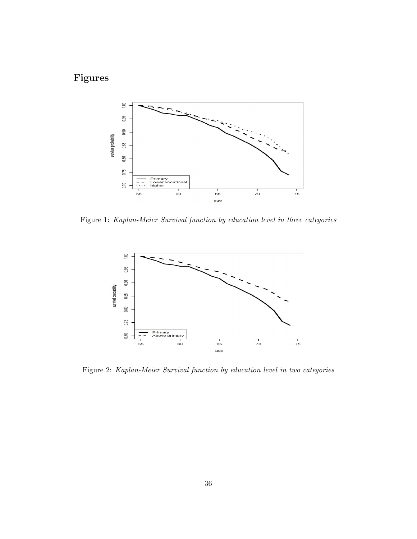# Figures



<span id="page-36-0"></span>Figure 1: Kaplan-Meier Survival function by education level in three categories



<span id="page-36-1"></span>Figure 2: Kaplan-Meier Survival function by education level in two categories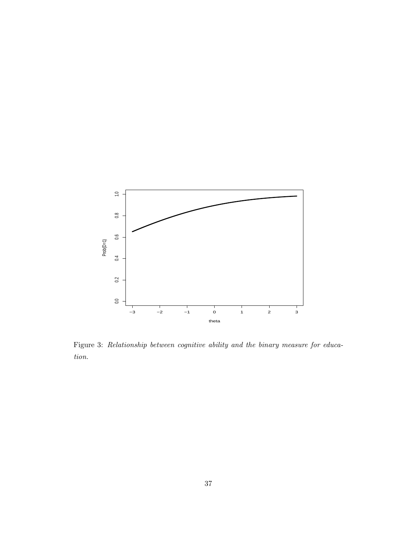

Figure 3: Relationship between cognitive ability and the binary measure for education.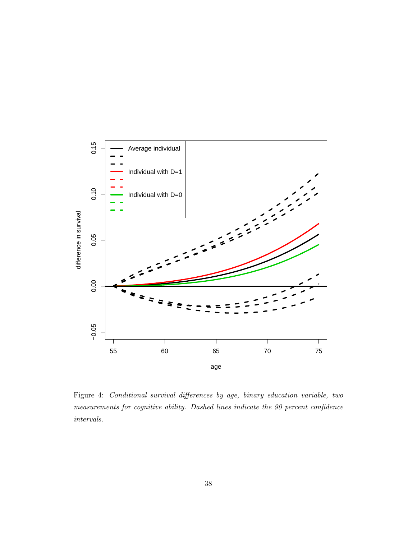

<span id="page-38-0"></span>Figure 4: Conditional survival differences by age, binary education variable, two measurements for cognitive ability. Dashed lines indicate the 90 percent confidence intervals.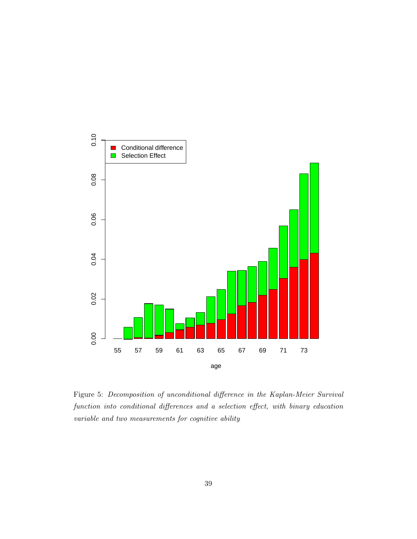

<span id="page-39-0"></span>Figure 5: Decomposition of unconditional difference in the Kaplan-Meier Survival function into conditional differences and a selection effect, with binary education variable and two measurements for cognitive ability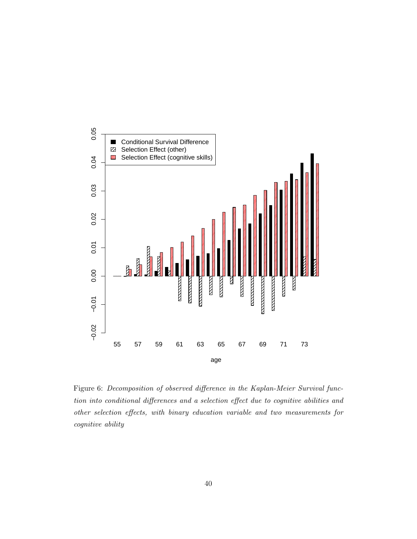

<span id="page-40-0"></span>Figure 6: Decomposition of observed difference in the Kaplan-Meier Survival function into conditional differences and a selection effect due to cognitive abilities and other selection effects, with binary education variable and two measurements for cognitive ability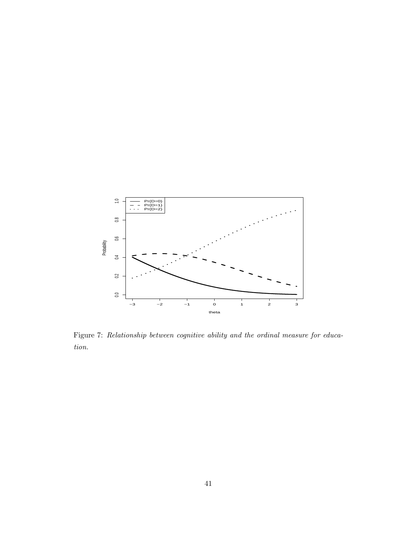

<span id="page-41-0"></span>Figure 7: Relationship between cognitive ability and the ordinal measure for education.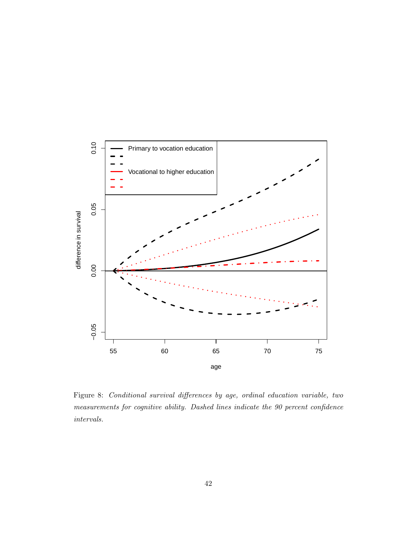

<span id="page-42-0"></span>Figure 8: Conditional survival differences by age, ordinal education variable, two measurements for cognitive ability. Dashed lines indicate the 90 percent confidence intervals.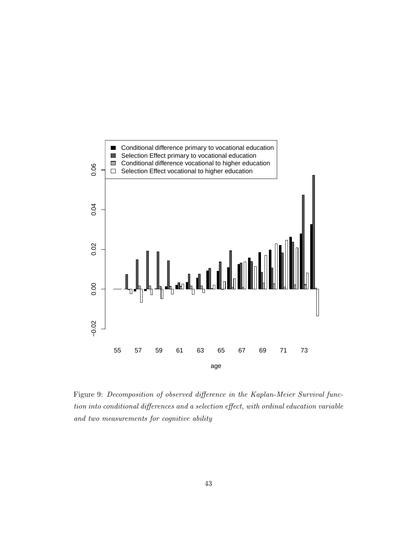

<span id="page-43-0"></span>Figure 9: Decomposition of observed difference in the Kaplan-Meier Survival function into conditional differences and a selection effect, with ordinal education variable and two measurements for cognitive ability